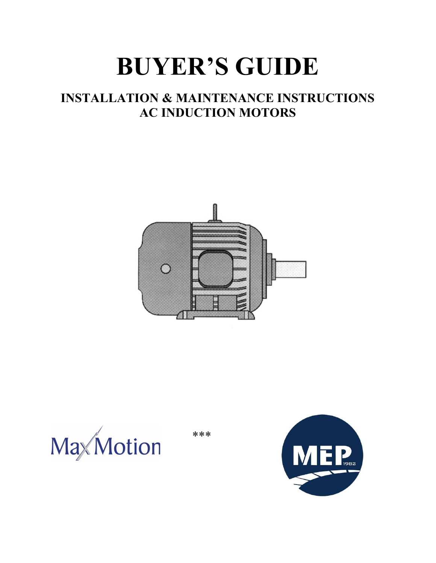# BUYER'S GUIDE

# INSTALLATION & MAINTENANCE INSTRUCTIONS AC INDUCTION MOTORS





\*\*\*

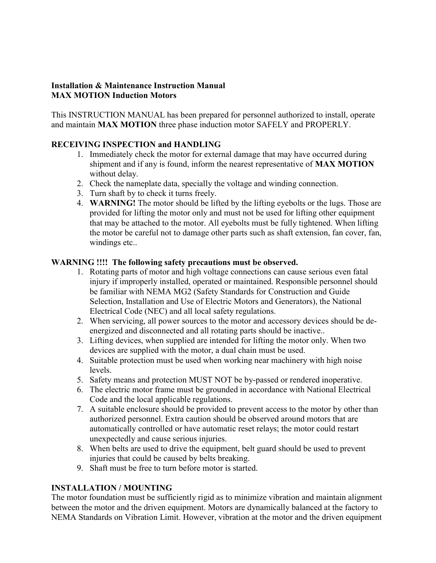#### Installation & Maintenance Instruction Manual MAX MOTION Induction Motors

This INSTRUCTION MANUAL has been prepared for personnel authorized to install, operate and maintain MAX MOTION three phase induction motor SAFELY and PROPERLY.

#### RECEIVING INSPECTION and HANDLING

- 1. Immediately check the motor for external damage that may have occurred during shipment and if any is found, inform the nearest representative of MAX MOTION without delay.
- 2. Check the nameplate data, specially the voltage and winding connection.
- 3. Turn shaft by to check it turns freely.
- 4. WARNING! The motor should be lifted by the lifting eyebolts or the lugs. Those are provided for lifting the motor only and must not be used for lifting other equipment that may be attached to the motor. All eyebolts must be fully tightened. When lifting the motor be careful not to damage other parts such as shaft extension, fan cover, fan, windings etc..

#### WARNING !!!! The following safety precautions must be observed.

- 1. Rotating parts of motor and high voltage connections can cause serious even fatal injury if improperly installed, operated or maintained. Responsible personnel should be familiar with NEMA MG2 (Safety Standards for Construction and Guide Selection, Installation and Use of Electric Motors and Generators), the National Electrical Code (NEC) and all local safety regulations.
- 2. When servicing, all power sources to the motor and accessory devices should be deenergized and disconnected and all rotating parts should be inactive..
- 3. Lifting devices, when supplied are intended for lifting the motor only. When two devices are supplied with the motor, a dual chain must be used.
- 4. Suitable protection must be used when working near machinery with high noise levels.
- 5. Safety means and protection MUST NOT be by-passed or rendered inoperative.
- 6. The electric motor frame must be grounded in accordance with National Electrical Code and the local applicable regulations.
- 7. A suitable enclosure should be provided to prevent access to the motor by other than authorized personnel. Extra caution should be observed around motors that are automatically controlled or have automatic reset relays; the motor could restart unexpectedly and cause serious injuries.
- 8. When belts are used to drive the equipment, belt guard should be used to prevent injuries that could be caused by belts breaking.
- 9. Shaft must be free to turn before motor is started.

#### INSTALLATION / MOUNTING

The motor foundation must be sufficiently rigid as to minimize vibration and maintain alignment between the motor and the driven equipment. Motors are dynamically balanced at the factory to NEMA Standards on Vibration Limit. However, vibration at the motor and the driven equipment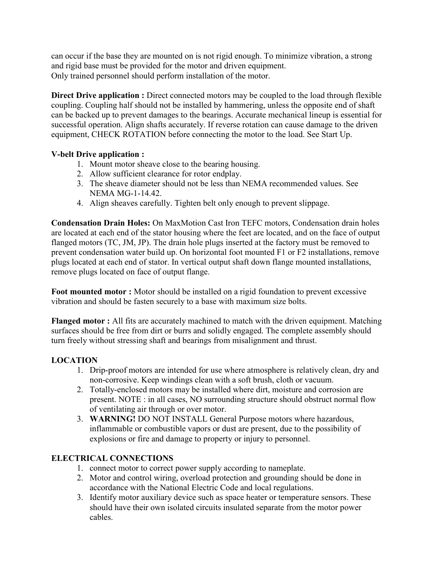can occur if the base they are mounted on is not rigid enough. To minimize vibration, a strong and rigid base must be provided for the motor and driven equipment. Only trained personnel should perform installation of the motor.

Direct Drive application : Direct connected motors may be coupled to the load through flexible coupling. Coupling half should not be installed by hammering, unless the opposite end of shaft can be backed up to prevent damages to the bearings. Accurate mechanical lineup is essential for successful operation. Align shafts accurately. If reverse rotation can cause damage to the driven equipment, CHECK ROTATION before connecting the motor to the load. See Start Up.

#### V-belt Drive application :

- 1. Mount motor sheave close to the bearing housing.
- 2. Allow sufficient clearance for rotor endplay.
- 3. The sheave diameter should not be less than NEMA recommended values. See NEMA MG-1-14.42.
- 4. Align sheaves carefully. Tighten belt only enough to prevent slippage.

Condensation Drain Holes: On MaxMotion Cast Iron TEFC motors, Condensation drain holes are located at each end of the stator housing where the feet are located, and on the face of output flanged motors (TC, JM, JP). The drain hole plugs inserted at the factory must be removed to prevent condensation water build up. On horizontal foot mounted F1 or F2 installations, remove plugs located at each end of stator. In vertical output shaft down flange mounted installations, remove plugs located on face of output flange.

Foot mounted motor : Motor should be installed on a rigid foundation to prevent excessive vibration and should be fasten securely to a base with maximum size bolts.

Flanged motor : All fits are accurately machined to match with the driven equipment. Matching surfaces should be free from dirt or burrs and solidly engaged. The complete assembly should turn freely without stressing shaft and bearings from misalignment and thrust.

## LOCATION

- 1. Drip-proof motors are intended for use where atmosphere is relatively clean, dry and non-corrosive. Keep windings clean with a soft brush, cloth or vacuum.
- 2. Totally-enclosed motors may be installed where dirt, moisture and corrosion are present. NOTE : in all cases, NO surrounding structure should obstruct normal flow of ventilating air through or over motor.
- 3. WARNING! DO NOT INSTALL General Purpose motors where hazardous, inflammable or combustible vapors or dust are present, due to the possibility of explosions or fire and damage to property or injury to personnel.

# ELECTRICAL CONNECTIONS

- 1. connect motor to correct power supply according to nameplate.
- 2. Motor and control wiring, overload protection and grounding should be done in accordance with the National Electric Code and local regulations.
- 3. Identify motor auxiliary device such as space heater or temperature sensors. These should have their own isolated circuits insulated separate from the motor power cables.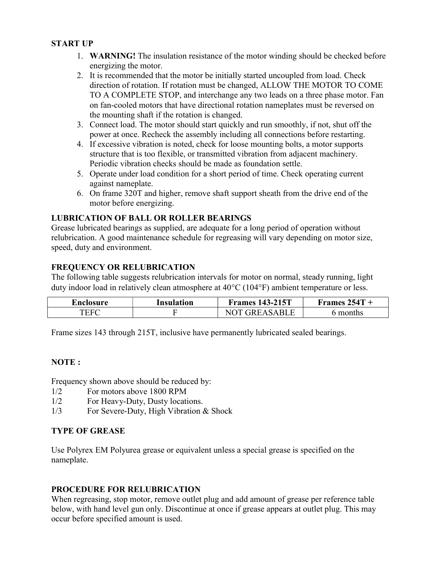#### START UP

- 1. WARNING! The insulation resistance of the motor winding should be checked before energizing the motor.
- 2. It is recommended that the motor be initially started uncoupled from load. Check direction of rotation. If rotation must be changed, ALLOW THE MOTOR TO COME TO A COMPLETE STOP, and interchange any two leads on a three phase motor. Fan on fan-cooled motors that have directional rotation nameplates must be reversed on the mounting shaft if the rotation is changed.
- 3. Connect load. The motor should start quickly and run smoothly, if not, shut off the power at once. Recheck the assembly including all connections before restarting.
- 4. If excessive vibration is noted, check for loose mounting bolts, a motor supports structure that is too flexible, or transmitted vibration from adjacent machinery. Periodic vibration checks should be made as foundation settle.
- 5. Operate under load condition for a short period of time. Check operating current against nameplate.
- 6. On frame 320T and higher, remove shaft support sheath from the drive end of the motor before energizing.

#### LUBRICATION OF BALL OR ROLLER BEARINGS

Grease lubricated bearings as supplied, are adequate for a long period of operation without relubrication. A good maintenance schedule for regreasing will vary depending on motor size, speed, duty and environment.

## FREQUENCY OR RELUBRICATION

The following table suggests relubrication intervals for motor on normal, steady running, light duty indoor load in relatively clean atmosphere at  $40^{\circ}$ C (104 $^{\circ}$ F) ambient temperature or less.

| Enclosure | Insulation | 143-215T<br>Frames     | 254T<br>Frames |
|-----------|------------|------------------------|----------------|
| TEFC      |            | R١<br>$\lambda$<br>- H | months         |

Frame sizes 143 through 215T, inclusive have permanently lubricated sealed bearings.

#### NOTE :

Frequency shown above should be reduced by:

- 1/2 For motors above 1800 RPM
- 1/2 For Heavy-Duty, Dusty locations.
- 1/3 For Severe-Duty, High Vibration & Shock

#### TYPE OF GREASE

Use Polyrex EM Polyurea grease or equivalent unless a special grease is specified on the nameplate.

#### PROCEDURE FOR RELUBRICATION

When regreasing, stop motor, remove outlet plug and add amount of grease per reference table below, with hand level gun only. Discontinue at once if grease appears at outlet plug. This may occur before specified amount is used.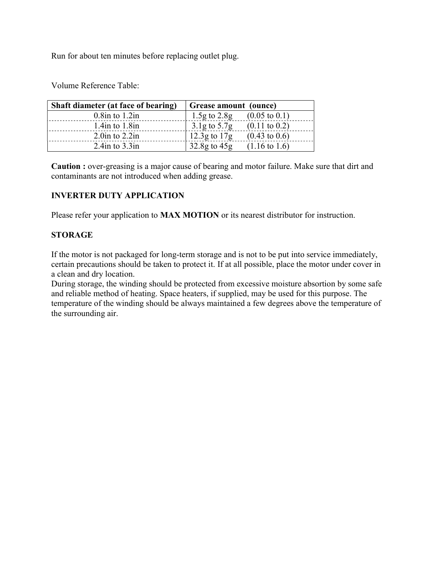Run for about ten minutes before replacing outlet plug.

Volume Reference Table:

| Shaft diameter (at face of bearing) | Grease amount (ounce)                        |
|-------------------------------------|----------------------------------------------|
| $0.8$ in to $1.2$ in                | $1.5g$ to $2.8g$<br>$(0.05 \text{ to } 0.1)$ |
| $1.4$ in to $1.8$ in                | $3.1g$ to $5.7g$<br>$(0.11 \text{ to } 0.2)$ |
| $2.0$ in to $2.2$ in                | 12.3g to $17g$<br>$(0.43 \text{ to } 0.6)$   |
| 2.4in to $3.3$ in                   | $32.8g$ to $45g$<br>$(1.16 \text{ to } 1.6)$ |

Caution : over-greasing is a major cause of bearing and motor failure. Make sure that dirt and contaminants are not introduced when adding grease.

#### INVERTER DUTY APPLICATION

Please refer your application to **MAX MOTION** or its nearest distributor for instruction.

#### **STORAGE**

If the motor is not packaged for long-term storage and is not to be put into service immediately, certain precautions should be taken to protect it. If at all possible, place the motor under cover in a clean and dry location.

During storage, the winding should be protected from excessive moisture absortion by some safe and reliable method of heating. Space heaters, if supplied, may be used for this purpose. The temperature of the winding should be always maintained a few degrees above the temperature of the surrounding air.